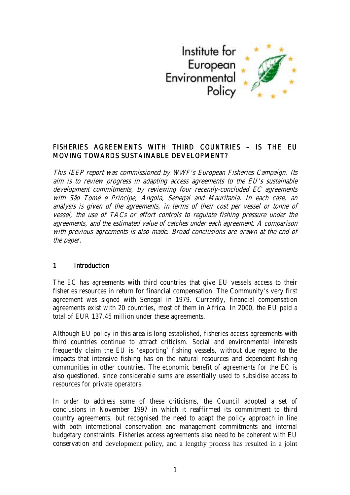

### FISHERIES AGREEMENTS WITH THIRD COUNTRIES - IS THE EU MOVING TOWARDS SUSTAINABLE DEVELOPMENT?

This IEEP report was commissioned by WWF's European Fisheries Campaign. Its aim is to review progress in adapting access agreements to the EU's sustainable development commitments, by reviewing four recently-concluded EC agreements with São Tomé e Príncipe, Angola, Senegal and Mauritania. In each case, an analysis is given of the agreements, in terms of their cost per vessel or tonne of vessel, the use of TACs or effort controls to regulate fishing pressure under the agreements, and the estimated value of catches under each agreement. A comparison with previous agreements is also made. Broad conclusions are drawn at the end of the paper.

### 1 Introduction

The EC has agreements with third countries that give EU vessels access to their fisheries resources in return for financial compensation. The Community's very first agreement was signed with Senegal in 1979. Currently, financial compensation agreements exist with 20 countries, most of them in Africa. In 2000, the EU paid a total of EUR 137.45 million under these agreements.

Although EU policy in this area is long established, fisheries access agreements with third countries continue to attract criticism. Social and environmental interests frequently claim the EU is 'exporting' fishing vessels, without due regard to the impacts that intensive fishing has on the natural resources and dependent fishing communities in other countries. The economic benefit of agreements for the EC is also questioned, since considerable sums are essentially used to subsidise access to resources for private operators.

In order to address some of these criticisms, the Council adopted a set of conclusions in November 1997 in which it reaffirmed its commitment to third country agreements, but recognised the need to adapt the policy approach in line with both international conservation and management commitments and internal budgetary constraints. Fisheries access agreements also need to be coherent with EU conservation and development policy, and a lengthy process has resulted in a joint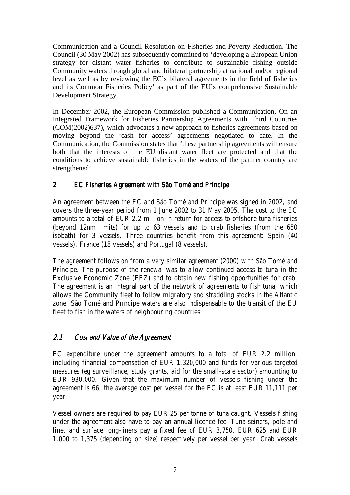Communication and a Council Resolution on Fisheries and Poverty Reduction. The Council (30 May 2002) has subsequently committed to 'developing a European Union strategy for distant water fisheries to contribute to sustainable fishing outside Community waters through global and bilateral partnership at national and/or regional level as well as by reviewing the EC's bilateral agreements in the field of fisheries and its Common Fisheries Policy' as part of the EU's comprehensive Sustainable Development Strategy.

In December 2002, the European Commission published a Communication, On an Integrated Framework for Fisheries Partnership Agreements with Third Countries (COM(2002)637), which advocates a new approach to fisheries agreements based on moving beyond the 'cash for access' agreements negotiated to date. In the Communication, the Commission states that 'these partnership agreements will ensure both that the interests of the EU distant water fleet are protected and that the conditions to achieve sustainable fisheries in the waters of the partner country are strengthened'.

### 2 EC Fisheries Agreement with São Tomé and Príncipe

An agreement between the EC and São Tomé and Príncipe was signed in 2002, and covers the three-year period from 1 June 2002 to 31 May 2005. The cost to the EC amounts to a total of EUR 2.2 million in return for access to offshore tuna fisheries (beyond 12nm limits) for up to 63 vessels and to crab fisheries (from the 650 isobath) for 3 vessels. Three countries benefit from this agreement: Spain (40 vessels), France (18 vessels) and Portugal (8 vessels).

The agreement follows on from a very similar agreement (2000) with São Tomé and Príncipe. The purpose of the renewal was to allow continued access to tuna in the Exclusive Economic Zone (EEZ) and to obtain new fishing opportunities for crab. The agreement is an integral part of the network of agreements to fish tuna, which allows the Community fleet to follow migratory and straddling stocks in the Atlantic zone. São Tomé and Príncipe waters are also indispensable to the transit of the EU fleet to fish in the waters of neighbouring countries.

### 2.1 Cost and Value of the Agreement

EC expenditure under the agreement amounts to a total of EUR 2.2 million, including financial compensation of EUR 1,320,000 and funds for various targeted measures (eg surveillance, study grants, aid for the small-scale sector) amounting to EUR 930,000. Given that the maximum number of vessels fishing under the agreement is 66, the average cost per vessel for the EC is at least EUR 11,111 per year.

Vessel owners are required to pay EUR 25 per tonne of tuna caught. Vessels fishing under the agreement also have to pay an annual licence fee. Tuna seiners, pole and line, and surface long-liners pay a fixed fee of EUR 3,750, EUR 625 and EUR 1,000 to 1,375 (depending on size) respectively per vessel per year. Crab vessels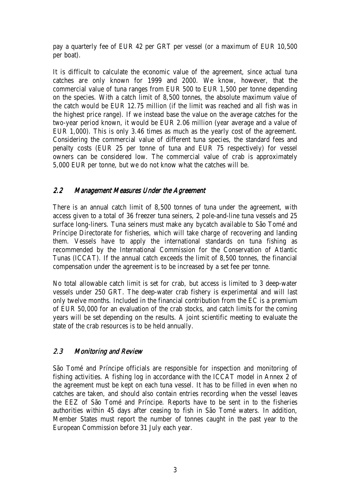pay a quarterly fee of EUR 42 per GRT per vessel (or a maximum of EUR 10,500 per boat).

It is difficult to calculate the economic value of the agreement, since actual tuna catches are only known for 1999 and 2000. We know, however, that the commercial value of tuna ranges from EUR 500 to EUR 1,500 per tonne depending on the species. With a catch limit of 8,500 tonnes, the absolute maximum value of the catch would be EUR 12.75 million (if the limit was reached and all fish was in the highest price range). If we instead base the value on the average catches for the two-year period known, it would be EUR 2.06 million (year average and a value of EUR 1,000). This is only 3.46 times as much as the yearly cost of the agreement. Considering the commercial value of different tuna species, the standard fees and penalty costs (EUR 25 per tonne of tuna and EUR 75 respectively) for vessel owners can be considered low. The commercial value of crab is approximately 5,000 EUR per tonne, but we do not know what the catches will be.

### 2.2 Management Measures Under the Agreement

There is an annual catch limit of 8,500 tonnes of tuna under the agreement, with access given to a total of 36 freezer tuna seiners, 2 pole-and-line tuna vessels and 25 surface long-liners. Tuna seiners must make any bycatch available to São Tomé and Príncipe Directorate for fisheries, which will take charge of recovering and landing them. Vessels have to apply the international standards on tuna fishing as recommended by the International Commission for the Conservation of Atlantic Tunas (ICCAT). If the annual catch exceeds the limit of 8,500 tonnes, the financial compensation under the agreement is to be increased by a set fee per tonne.

No total allowable catch limit is set for crab, but access is limited to 3 deep-water vessels under 250 GRT. The deep-water crab fishery is experimental and will last only twelve months. Included in the financial contribution from the EC is a premium of EUR 50,000 for an evaluation of the crab stocks, and catch limits for the coming years will be set depending on the results. A joint scientific meeting to evaluate the state of the crab resources is to be held annually.

### 2.3 Monitoring and Review

São Tomé and Príncipe officials are responsible for inspection and monitoring of fishing activities. A fishing log in accordance with the ICCAT model in Annex 2 of the agreement must be kept on each tuna vessel. It has to be filled in even when no catches are taken, and should also contain entries recording when the vessel leaves the EEZ of São Tomé and Príncipe. Reports have to be sent in to the fisheries authorities within 45 days after ceasing to fish in São Tomé waters. In addition, Member States must report the number of tonnes caught in the past year to the European Commission before 31 July each year.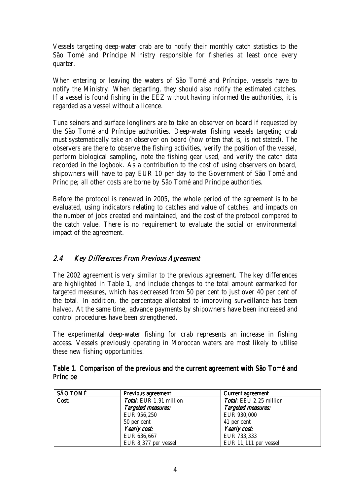Vessels targeting deep-water crab are to notify their monthly catch statistics to the São Tomé and Príncipe Ministry responsible for fisheries at least once every quarter.

When entering or leaving the waters of São Tomé and Príncipe, vessels have to notify the Ministry. When departing, they should also notify the estimated catches. If a vessel is found fishing in the EEZ without having informed the authorities, it is regarded as a vessel without a licence.

Tuna seiners and surface longliners are to take an observer on board if requested by the São Tomé and Príncipe authorities. Deep-water fishing vessels targeting crab must systematically take an observer on board (how often that is, is not stated). The observers are there to observe the fishing activities, verify the position of the vessel, perform biological sampling, note the fishing gear used, and verify the catch data recorded in the logbook. As a contribution to the cost of using observers on board, shipowners will have to pay EUR 10 per day to the Government of São Tomé and Príncipe; all other costs are borne by São Tomé and Príncipe authorities.

Before the protocol is renewed in 2005, the whole period of the agreement is to be evaluated, using indicators relating to catches and value of catches, and impacts on the number of jobs created and maintained, and the cost of the protocol compared to the catch value. There is no requirement to evaluate the social or environmental impact of the agreement.

### 2.4 Key Differences From Previous Agreement

The 2002 agreement is very similar to the previous agreement. The key differences are highlighted in Table 1, and include changes to the total amount earmarked for targeted measures, which has decreased from 50 per cent to just over 40 per cent of the total. In addition, the percentage allocated to improving surveillance has been halved. At the same time, advance payments by shipowners have been increased and control procedures have been strengthened.

The experimental deep-water fishing for crab represents an increase in fishing access. Vessels previously operating in Moroccan waters are most likely to utilise these new fishing opportunities.

| <b>SÃO TOMÉ</b> | <b>Previous agreement</b> | <b>Current agreement</b> |  |
|-----------------|---------------------------|--------------------------|--|
| Cost:           | Total: EUR 1.91 million   | Total: EEU 2.25 million  |  |
|                 | Targeted measures:        | Targeted measures:       |  |
|                 | EUR 956,250               | EUR 930,000              |  |
|                 | 50 per cent               | 41 per cent              |  |
|                 | Yearly cost:              | Yearly cost:             |  |
|                 | EUR 636,667               | EUR 733,333              |  |
|                 | EUR 8,377 per vessel      | EUR 11,111 per vessel    |  |

### Table 1. Comparison of the previous and the current agreement with São Tomé and **Príncipe**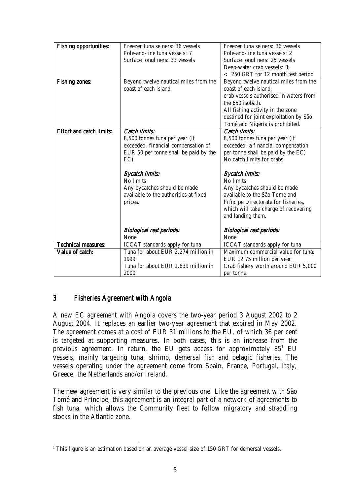| <b>Fishing opportunities:</b>   | Freezer tuna seiners: 36 vessels      | Freezer tuna seiners: 36 vessels       |  |
|---------------------------------|---------------------------------------|----------------------------------------|--|
|                                 | Pole-and-line tuna vessels: 7         | Pole-and-line tuna vessels: 2          |  |
|                                 | Surface longliners: 33 vessels        | Surface longliners: 25 vessels         |  |
|                                 |                                       | Deep-water crab vessels: 3;            |  |
|                                 |                                       | < 250 GRT for 12 month test period     |  |
| <b>Fishing zones:</b>           | Beyond twelve nautical miles from the | Beyond twelve nautical miles from the  |  |
|                                 | coast of each island.                 | coast of each island;                  |  |
|                                 |                                       | crab vessels authorised in waters from |  |
|                                 |                                       | the 650 isobath.                       |  |
|                                 |                                       | All fishing activity in the zone       |  |
|                                 |                                       | destined for joint exploitation by São |  |
|                                 |                                       | Tomé and Nigeria is prohibited.        |  |
| <b>Effort and catch limits:</b> | <b>Catch limits:</b>                  | <b>Catch limits:</b>                   |  |
|                                 | 8,500 tonnes tuna per year (if        | 8,500 tonnes tuna per year (if         |  |
|                                 | exceeded, financial compensation of   | exceeded, a financial compensation     |  |
|                                 | EUR 50 per tonne shall be paid by the | per tonne shall be paid by the EC)     |  |
|                                 | EC)                                   | No catch limits for crabs              |  |
|                                 | <b>Bycatch limits:</b>                | <b>Bycatch limits:</b>                 |  |
|                                 | No limits                             | No limits                              |  |
|                                 | Any bycatches should be made          | Any bycatches should be made           |  |
|                                 | available to the authorities at fixed | available to the São Tomé and          |  |
|                                 | prices.                               | Príncipe Directorate for fisheries,    |  |
|                                 |                                       | which will take charge of recovering   |  |
|                                 |                                       | and landing them.                      |  |
|                                 |                                       |                                        |  |
|                                 | <b>Biological rest periods:</b>       | <b>Biological rest periods:</b>        |  |
|                                 | None                                  | None                                   |  |
| <b>Technical measures:</b>      | <b>ICCAT</b> standards apply for tuna | <b>ICCAT</b> standards apply for tuna  |  |
| Value of catch:                 | Tuna for about EUR 2.274 million in   | Maximum commercial value for tuna:     |  |
|                                 | 1999                                  | EUR 12.75 million per year             |  |
|                                 | Tuna for about EUR 1.839 million in   | Crab fishery worth around EUR 5,000    |  |
|                                 | 2000                                  | per tonne.                             |  |

### 3 Fisheries Agreement with Angola

l

A new EC agreement with Angola covers the two-year period 3 August 2002 to 2 August 2004. It replaces an earlier two-year agreement that expired in May 2002. The agreement comes at a cost of EUR 31 millions to the EU, of which 36 per cent is targeted at supporting measures. In both cases, this is an increase from the previous agreement. In return, the EU gets access for approximately  $85^1$  EU vessels, mainly targeting tuna, shrimp, demersal fish and pelagic fisheries. The vessels operating under the agreement come from Spain, France, Portugal, Italy, Greece, the Netherlands and/or Ireland.

The new agreement is very similar to the previous one. Like the agreement with São Tomé and Príncipe, this agreement is an integral part of a network of agreements to fish tuna, which allows the Community fleet to follow migratory and straddling stocks in the Atlantic zone.

 $1$  This figure is an estimation based on an average vessel size of 150 GRT for demersal vessels.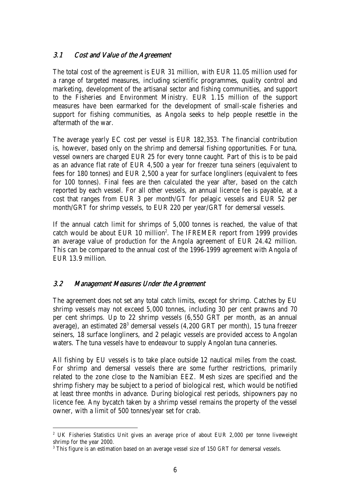### 3.1 Cost and Value of the Agreement

The total cost of the agreement is EUR 31 million, with EUR 11.05 million used for a range of targeted measures, including scientific programmes, quality control and marketing, development of the artisanal sector and fishing communities, and support to the Fisheries and Environment Ministry. EUR 1.15 million of the support measures have been earmarked for the development of small-scale fisheries and support for fishing communities, as Angola seeks to help people resettle in the aftermath of the war.

The average yearly EC cost per vessel is EUR 182,353. The financial contribution is, however, based only on the shrimp and demersal fishing opportunities. For tuna, vessel owners are charged EUR 25 for every tonne caught. Part of this is to be paid as an advance flat rate of EUR 4,500 a year for freezer tuna seiners (equivalent to fees for 180 tonnes) and EUR 2,500 a year for surface longliners (equivalent to fees for 100 tonnes). Final fees are then calculated the year after, based on the catch reported by each vessel. For all other vessels, an annual licence fee is payable, at a cost that ranges from EUR 3 per month/GT for pelagic vessels and EUR 52 per month/GRT for shrimp vessels, to EUR 220 per year/GRT for demersal vessels.

If the annual catch limit for shrimps of 5,000 tonnes is reached, the value of that catch would be about EUR 10 million<sup>2</sup>. The IFREMER report from 1999 provides an average value of production for the Angola agreement of EUR 24.42 million. This can be compared to the annual cost of the 1996-1999 agreement with Angola of EUR 13.9 million.

### 3.2 Management Measures Under the Agreement

l

The agreement does not set any total catch limits, except for shrimp. Catches by EU shrimp vessels may not exceed 5,000 tonnes, including 30 per cent prawns and 70 per cent shrimps. Up to 22 shrimp vessels (6,550 GRT per month, as an annual average), an estimated 28<sup>3</sup> demersal vessels (4,200 GRT per month), 15 tuna freezer seiners, 18 surface longliners, and 2 pelagic vessels are provided access to Angolan waters. The tuna vessels have to endeavour to supply Angolan tuna canneries.

All fishing by EU vessels is to take place outside 12 nautical miles from the coast. For shrimp and demersal vessels there are some further restrictions, primarily related to the zone close to the Namibian EEZ. Mesh sizes are specified and the shrimp fishery may be subject to a period of biological rest, which would be notified at least three months in advance. During biological rest periods, shipowners pay no licence fee. Any bycatch taken by a shrimp vessel remains the property of the vessel owner, with a limit of 500 tonnes/year set for crab.

<sup>&</sup>lt;sup>2</sup> UK Fisheries Statistics Unit gives an average price of about EUR 2,000 per tonne liveweight shrimp for the year 2000.

<sup>&</sup>lt;sup>3</sup> This figure is an estimation based on an average vessel size of 150 GRT for demersal vessels.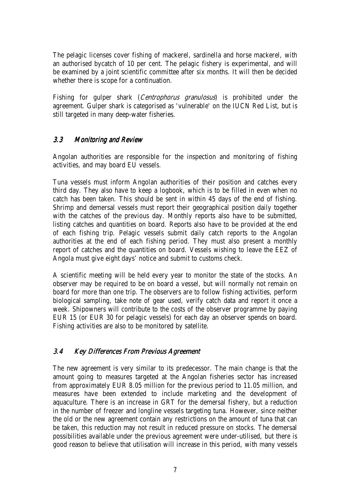The pelagic licenses cover fishing of mackerel, sardinella and horse mackerel, with an authorised bycatch of 10 per cent. The pelagic fishery is experimental, and will be examined by a joint scientific committee after six months. It will then be decided whether there is scope for a continuation.

Fishing for gulper shark (*Centrophorus granulosus*) is prohibited under the agreement. Gulper shark is categorised as 'vulnerable' on the IUCN Red List, but is still targeted in many deep-water fisheries.

### 3.3 Monitoring and Review

Angolan authorities are responsible for the inspection and monitoring of fishing activities, and may board EU vessels.

Tuna vessels must inform Angolan authorities of their position and catches every third day. They also have to keep a logbook, which is to be filled in even when no catch has been taken. This should be sent in within 45 days of the end of fishing. Shrimp and demersal vessels must report their geographical position daily together with the catches of the previous day. Monthly reports also have to be submitted, listing catches and quantities on board. Reports also have to be provided at the end of each fishing trip. Pelagic vessels submit daily catch reports to the Angolan authorities at the end of each fishing period. They must also present a monthly report of catches and the quantities on board. Vessels wishing to leave the EEZ of Angola must give eight days' notice and submit to customs check.

A scientific meeting will be held every year to monitor the state of the stocks. An observer may be required to be on board a vessel, but will normally not remain on board for more than one trip. The observers are to follow fishing activities, perform biological sampling, take note of gear used, verify catch data and report it once a week. Shipowners will contribute to the costs of the observer programme by paying EUR 15 (or EUR 30 for pelagic vessels) for each day an observer spends on board. Fishing activities are also to be monitored by satellite.

### 3.4 Key Differences From Previous Agreement

The new agreement is very similar to its predecessor. The main change is that the amount going to measures targeted at the Angolan fisheries sector has increased from approximately EUR 8.05 million for the previous period to 11.05 million, and measures have been extended to include marketing and the development of aquaculture. There is an increase in GRT for the demersal fishery, but a reduction in the number of freezer and longline vessels targeting tuna. However, since neither the old or the new agreement contain any restrictions on the amount of tuna that can be taken, this reduction may not result in reduced pressure on stocks. The demersal possibilities available under the previous agreement were under-utilised, but there is good reason to believe that utilisation will increase in this period, with many vessels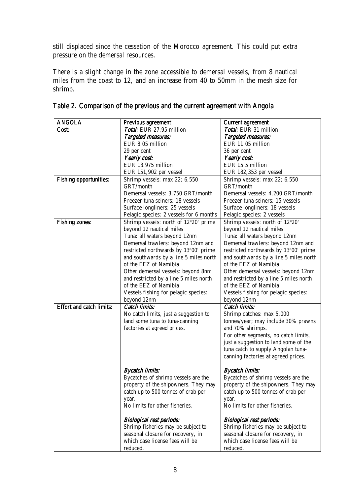still displaced since the cessation of the Morocco agreement. This could put extra pressure on the demersal resources.

There is a slight change in the zone accessible to demersal vessels, from 8 nautical miles from the coast to 12, and an increase from 40 to 50mm in the mesh size for shrimp.

| <b>ANGOLA</b>                   | Previous agreement                      | <b>Current agreement</b>               |
|---------------------------------|-----------------------------------------|----------------------------------------|
| Cost:                           | Total: EUR 27.95 million                | Total: EUR 31 million                  |
|                                 | <b>Targeted measures:</b>               | <b>Targeted measures:</b>              |
|                                 | EUR 8.05 million                        | EUR 11.05 million                      |
|                                 | 29 per cent                             | 36 per cent                            |
|                                 | Yearly cost:                            | Yearly cost:                           |
|                                 | EUR 13.975 million                      | EUR 15.5 million                       |
|                                 | EUR 151,902 per vessel                  | EUR 182,353 per vessel                 |
| <b>Fishing opportunities:</b>   | Shrimp vessels: max 22; 6,550           | Shrimp vessels: max 22; 6,550          |
|                                 | GRT/month                               | GRT/month                              |
|                                 | Demersal vessels: 3,750 GRT/month       | Demersal vessels: 4,200 GRT/month      |
|                                 | Freezer tuna seiners: 18 vessels        | Freezer tuna seiners: 15 vessels       |
|                                 | Surface longliners: 25 vessels          | Surface longliners: 18 vessels         |
|                                 | Pelagic species: 2 vessels for 6 months | Pelagic species: 2 vessels             |
| <b>Fishing zones:</b>           | Shrimp vessels: north of 12°20' prime   | Shrimp vessels: north of 12°20'        |
|                                 | beyond 12 nautical miles                | beyond 12 nautical miles               |
|                                 | Tuna: all waters beyond 12nm            | Tuna: all waters beyond 12nm           |
|                                 | Demersal trawlers: beyond 12nm and      | Demersal trawlers: beyond 12nm and     |
|                                 | restricted northwards by 13°00' prime   | restricted northwards by 13°00' prime  |
|                                 | and southwards by a line 5 miles north  | and southwards by a line 5 miles north |
|                                 | of the EEZ of Namibia                   | of the EEZ of Namibia                  |
|                                 |                                         |                                        |
|                                 | Other demersal vessels: beyond 8nm      | Other demersal vessels: beyond 12nm    |
|                                 | and restricted by a line 5 miles north  | and restricted by a line 5 miles north |
|                                 | of the EEZ of Namibia                   | of the EEZ of Namibia                  |
|                                 | Vessels fishing for pelagic species:    | Vessels fishing for pelagic species:   |
|                                 | beyond 12nm                             | beyond 12nm                            |
| <b>Effort and catch limits:</b> | <b>Catch limits:</b>                    | <b>Catch limits:</b>                   |
|                                 | No catch limits, just a suggestion to   | Shrimp catches: max 5,000              |
|                                 | land some tuna to tuna-canning          | tonnes/year; may include 30% prawns    |
|                                 | factories at agreed prices.             | and 70% shrimps.                       |
|                                 |                                         | For other segments, no catch limits,   |
|                                 |                                         | just a suggestion to land some of the  |
|                                 |                                         | tuna catch to supply Angolan tuna-     |
|                                 |                                         | canning factories at agreed prices.    |
|                                 |                                         |                                        |
|                                 | <b>Bycatch limits:</b>                  | <b>Bycatch limits:</b>                 |
|                                 | Bycatches of shrimp vessels are the     | Bycatches of shrimp vessels are the    |
|                                 | property of the shipowners. They may    | property of the shipowners. They may   |
|                                 | catch up to 500 tonnes of crab per      | catch up to 500 tonnes of crab per     |
|                                 | year.                                   | year.                                  |
|                                 | No limits for other fisheries.          | No limits for other fisheries.         |
|                                 | <b>Biological rest periods:</b>         | <b>Biological rest periods:</b>        |
|                                 | Shrimp fisheries may be subject to      | Shrimp fisheries may be subject to     |
|                                 | seasonal closure for recovery, in       | seasonal closure for recovery, in      |
|                                 | which case license fees will be         | which case license fees will be        |
|                                 | reduced.                                | reduced.                               |

|  |  | Table 2. Comparison of the previous and the current agreement with Angola |  |
|--|--|---------------------------------------------------------------------------|--|
|  |  |                                                                           |  |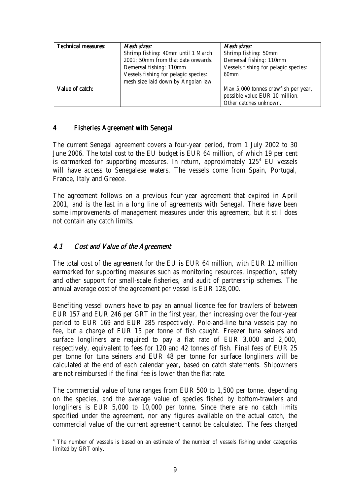| <b>Technical measures:</b> | Mesh sizes:                                                   | Mesh sizes:                          |
|----------------------------|---------------------------------------------------------------|--------------------------------------|
|                            | Shrimp fishing: 40mm until 1 March                            | Shrimp fishing: 50mm                 |
|                            | 2001; 50mm from that date onwards.<br>Demersal fishing: 110mm |                                      |
|                            | Demersal fishing: 110mm                                       | Vessels fishing for pelagic species: |
|                            | Vessels fishing for pelagic species:                          | 60 <sub>mm</sub>                     |
|                            | mesh size laid down by Angolan law                            |                                      |
| Value of catch:            |                                                               | Max 5,000 tonnes crawfish per year,  |
|                            |                                                               | possible value EUR 10 million.       |
|                            |                                                               | Other catches unknown.               |

### 4 Fisheries Agreement with Senegal Fisheries Agreement with Senegal

The current Senegal agreement covers a four-year period, from 1 July 2002 to 30 June 2006. The total cost to the EU budget is EUR 64 million, of which 19 per cent is earmarked for supporting measures. In return, approximately  $125<sup>4</sup>$  EU vessels will have access to Senegalese waters. The vessels come from Spain, Portugal, France, Italy and Greece.

The agreement follows on a previous four-year agreement that expired in April 2001, and is the last in a long line of agreements with Senegal. There have been some improvements of management measures under this agreement, but it still does not contain any catch limits.

### 4.1 Cost and Value of the Agreement

l

The total cost of the agreement for the EU is EUR 64 million, with EUR 12 million earmarked for supporting measures such as monitoring resources, inspection, safety and other support for small-scale fisheries, and audit of partnership schemes. The annual average cost of the agreement per vessel is EUR 128,000.

Benefiting vessel owners have to pay an annual licence fee for trawlers of between EUR 157 and EUR 246 per GRT in the first year, then increasing over the four-year period to EUR 169 and EUR 285 respectively. Pole-and-line tuna vessels pay no fee, but a charge of EUR 15 per tonne of fish caught. Freezer tuna seiners and surface longliners are required to pay a flat rate of EUR 3,000 and 2,000, respectively, equivalent to fees for 120 and 42 tonnes of fish. Final fees of EUR 25 per tonne for tuna seiners and EUR 48 per tonne for surface longliners will be calculated at the end of each calendar year, based on catch statements. Shipowners are not reimbursed if the final fee is lower than the flat rate.

The commercial value of tuna ranges from EUR 500 to 1,500 per tonne, depending on the species, and the average value of species fished by bottom-trawlers and longliners is EUR 5,000 to 10,000 per tonne. Since there are no catch limits specified under the agreement, nor any figures available on the actual catch, the commercial value of the current agreement cannot be calculated. The fees charged

<sup>&</sup>lt;sup>4</sup> The number of vessels is based on an estimate of the number of vessels fishing under categories limited by GRT only.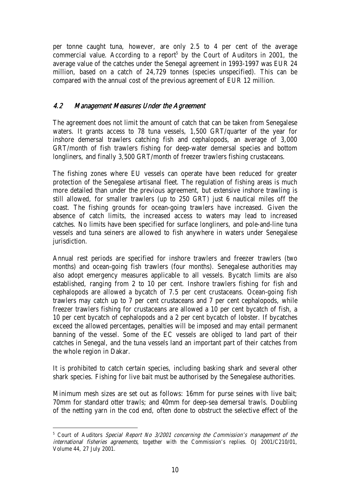per tonne caught tuna, however, are only 2.5 to 4 per cent of the average commercial value. According to a report<sup>5</sup> by the Court of Auditors in 2001, the average value of the catches under the Senegal agreement in 1993-1997 was EUR 24 million, based on a catch of 24,729 tonnes (species unspecified). This can be compared with the annual cost of the previous agreement of EUR 12 million.

### 4.2 Management Measures Under the Agreement Management Measures Under the Agreement Management Measures Under Agreement

The agreement does not limit the amount of catch that can be taken from Senegalese waters. It grants access to 78 tuna vessels, 1,500 GRT/quarter of the year for inshore demersal trawlers catching fish and cephalopods, an average of 3,000 GRT/month of fish trawlers fishing for deep-water demersal species and bottom longliners, and finally 3,500 GRT/month of freezer trawlers fishing crustaceans.

The fishing zones where EU vessels can operate have been reduced for greater protection of the Senegalese artisanal fleet. The regulation of fishing areas is much more detailed than under the previous agreement, but extensive inshore trawling is still allowed, for smaller trawlers (up to 250 GRT) just 6 nautical miles off the coast. The fishing grounds for ocean-going trawlers have increased. Given the absence of catch limits, the increased access to waters may lead to increased catches. No limits have been specified for surface longliners, and pole-and-line tuna vessels and tuna seiners are allowed to fish anywhere in waters under Senegalese jurisdiction.

Annual rest periods are specified for inshore trawlers and freezer trawlers (two months) and ocean-going fish trawlers (four months). Senegalese authorities may also adopt emergency measures applicable to all vessels. Bycatch limits are also established, ranging from 2 to 10 per cent. Inshore trawlers fishing for fish and cephalopods are allowed a bycatch of 7.5 per cent crustaceans. Ocean-going fish trawlers may catch up to 7 per cent crustaceans and 7 per cent cephalopods, while freezer trawlers fishing for crustaceans are allowed a 10 per cent bycatch of fish, a 10 per cent bycatch of cephalopods and a 2 per cent bycatch of lobster. If bycatches exceed the allowed percentages, penalties will be imposed and may entail permanent banning of the vessel. Some of the EC vessels are obliged to land part of their catches in Senegal, and the tuna vessels land an important part of their catches from the whole region in Dakar.

It is prohibited to catch certain species, including basking shark and several other shark species. Fishing for live bait must be authorised by the Senegalese authorities.

Minimum mesh sizes are set out as follows: 16mm for purse seines with live bait; 70mm for standard otter trawls; and 40mm for deep-sea demersal trawls. Doubling of the netting yarn in the cod end, often done to obstruct the selective effect of the

l <sup>5</sup> Court of Auditors Special Report No 3/2001 concerning the Commission's management of the international fisheries agreements, together with the Commission's replies. OJ 2001/C210/01, Volume 44, 27 July 2001.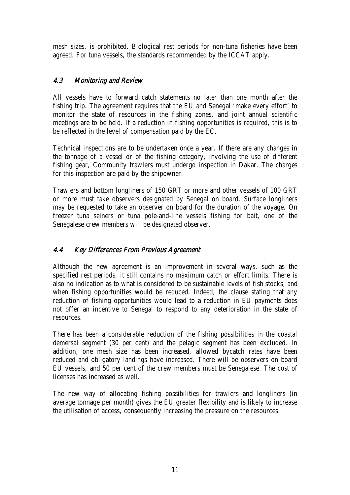mesh sizes, is prohibited. Biological rest periods for non-tuna fisheries have been agreed. For tuna vessels, the standards recommended by the ICCAT apply.

### 4.3 Monitoring and Review

All vessels have to forward catch statements no later than one month after the fishing trip. The agreement requires that the EU and Senegal 'make every effort' to monitor the state of resources in the fishing zones, and joint annual scientific meetings are to be held. If a reduction in fishing opportunities is required, this is to be reflected in the level of compensation paid by the EC.

Technical inspections are to be undertaken once a year. If there are any changes in the tonnage of a vessel or of the fishing category, involving the use of different fishing gear, Community trawlers must undergo inspection in Dakar. The charges for this inspection are paid by the shipowner.

Trawlers and bottom longliners of 150 GRT or more and other vessels of 100 GRT or more must take observers designated by Senegal on board. Surface longliners may be requested to take an observer on board for the duration of the voyage. On freezer tuna seiners or tuna pole-and-line vessels fishing for bait, one of the Senegalese crew members will be designated observer.

## 4.4 Key Differences From Previous Agreement

Although the new agreement is an improvement in several ways, such as the specified rest periods, it still contains no maximum catch or effort limits. There is also no indication as to what is considered to be sustainable levels of fish stocks, and when fishing opportunities would be reduced. Indeed, the clause stating that any reduction of fishing opportunities would lead to a reduction in EU payments does not offer an incentive to Senegal to respond to any deterioration in the state of resources.

There has been a considerable reduction of the fishing possibilities in the coastal demersal segment (30 per cent) and the pelagic segment has been excluded. In addition, one mesh size has been increased, allowed bycatch rates have been reduced and obligatory landings have increased. There will be observers on board EU vessels, and 50 per cent of the crew members must be Senegalese. The cost of licenses has increased as well.

The new way of allocating fishing possibilities for trawlers and longliners (in average tonnage per month) gives the EU greater flexibility and is likely to increase the utilisation of access, consequently increasing the pressure on the resources.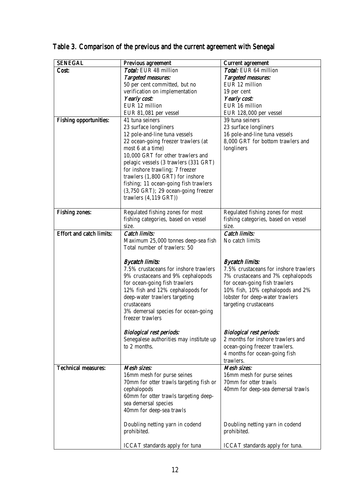| <b>SENEGAL</b>                  | Previous agreement                             | <b>Current agreement</b>              |
|---------------------------------|------------------------------------------------|---------------------------------------|
| Cost:                           | Total: EUR 48 million<br>Total: EUR 64 million |                                       |
|                                 | Targeted measures:                             | <b>Targeted measures:</b>             |
|                                 | 50 per cent committed, but no                  | EUR 12 million                        |
|                                 | verification on implementation                 | 19 per cent                           |
|                                 | Yearly cost:                                   | Yearly cost:                          |
|                                 | EUR 12 million                                 | EUR 16 million                        |
|                                 | EUR 81,081 per vessel                          | EUR 128,000 per vessel                |
| <b>Fishing opportunities:</b>   | 41 tuna seiners                                | 39 tuna seiners                       |
|                                 | 23 surface longliners                          | 23 surface longliners                 |
|                                 | 12 pole-and-line tuna vessels                  | 16 pole-and-line tuna vessels         |
|                                 | 22 ocean-going freezer trawlers (at            | 8,000 GRT for bottom trawlers and     |
|                                 | most 6 at a time)                              | longliners                            |
|                                 | 10,000 GRT for other trawlers and              |                                       |
|                                 | pelagic vessels (3 trawlers (331 GRT)          |                                       |
|                                 | for inshore trawling; 7 freezer                |                                       |
|                                 | trawlers (1,800 GRT) for inshore               |                                       |
|                                 | fishing; 11 ocean-going fish trawlers          |                                       |
|                                 | (3,750 GRT); 29 ocean-going freezer            |                                       |
|                                 | trawlers $(4, 119 \text{ GRT})$                |                                       |
|                                 |                                                |                                       |
| <b>Fishing zones:</b>           | Regulated fishing zones for most               | Regulated fishing zones for most      |
|                                 | fishing categories, based on vessel            | fishing categories, based on vessel   |
|                                 | size.                                          | size.                                 |
| <b>Effort and catch limits:</b> | <b>Catch limits:</b>                           | <b>Catch limits:</b>                  |
|                                 | Maximum 25,000 tonnes deep-sea fish            | No catch limits                       |
|                                 | Total number of trawlers: 50                   |                                       |
|                                 |                                                |                                       |
|                                 | <b>Bycatch limits:</b>                         | <b>Bycatch limits:</b>                |
|                                 | 7.5% crustaceans for inshore trawlers          | 7.5% crustaceans for inshore trawlers |
|                                 | 9% crustaceans and 9% cephalopods              | 7% crustaceans and 7% cephalopods     |
|                                 | for ocean-going fish trawlers                  | for ocean-going fish trawlers         |
|                                 | 12% fish and 12% cephalopods for               | 10% fish, 10% cephalopods and 2%      |
|                                 | deep-water trawlers targeting                  | lobster for deep-water trawlers       |
|                                 | crustaceans                                    | targeting crustaceans                 |
|                                 | 3% demersal species for ocean-going            |                                       |
|                                 | freezer trawlers                               |                                       |
|                                 |                                                |                                       |
|                                 | <b>Biological rest periods:</b>                | <b>Biological rest periods:</b>       |
|                                 | Senegalese authorities may institute up        | 2 months for inshore trawlers and     |
|                                 | to 2 months.                                   | ocean-going freezer trawlers.         |
|                                 |                                                | 4 months for ocean-going fish         |
|                                 |                                                | trawlers.                             |
| <b>Technical measures:</b>      | Mesh sizes:                                    | Mesh sizes:                           |
|                                 | 16mm mesh for purse seines                     | 16mm mesh for purse seines            |
|                                 | 70mm for otter trawls targeting fish or        | 70mm for otter trawls                 |
|                                 | cephalopods                                    | 40mm for deep-sea demersal trawls     |
|                                 | 60mm for otter trawls targeting deep-          |                                       |
|                                 | sea demersal species                           |                                       |
|                                 | 40mm for deep-sea trawls                       |                                       |
|                                 |                                                |                                       |
|                                 | Doubling netting yarn in codend                | Doubling netting yarn in codend       |
|                                 | prohibited.                                    | prohibited.                           |
|                                 |                                                |                                       |
|                                 | ICCAT standards apply for tuna                 | ICCAT standards apply for tuna.       |

# Table 3. Comparison of the previous and the current agreement with Senegal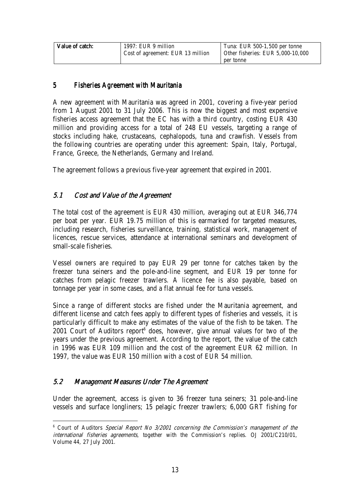| Value of catch: | 1997: EUR 9 million                            | Tuna: EUR 500-1,500 per tonne     |
|-----------------|------------------------------------------------|-----------------------------------|
|                 | <sup>1</sup> Cost of agreement: EUR 13 million | Other fisheries: EUR 5,000-10,000 |
|                 |                                                | per tonne                         |

### 5 Fisheries Agreement with Mauritania

A new agreement with Mauritania was agreed in 2001, covering a five-year period from 1 August 2001 to 31 July 2006. This is now the biggest and most expensive fisheries access agreement that the EC has with a third country, costing EUR 430 million and providing access for a total of 248 EU vessels, targeting a range of stocks including hake, crustaceans, cephalopods, tuna and crawfish. Vessels from the following countries are operating under this agreement: Spain, Italy, Portugal, France, Greece, the Netherlands, Germany and Ireland.

The agreement follows a previous five-year agreement that expired in 2001.

### 5.1 Cost and Value of the Agreement

The total cost of the agreement is EUR 430 million, averaging out at EUR 346,774 per boat per year. EUR 19.75 million of this is earmarked for targeted measures, including research, fisheries surveillance, training, statistical work, management of licences, rescue services, attendance at international seminars and development of small-scale fisheries.

Vessel owners are required to pay EUR 29 per tonne for catches taken by the freezer tuna seiners and the pole-and-line segment, and EUR 19 per tonne for catches from pelagic freezer trawlers. A licence fee is also payable, based on tonnage per year in some cases, and a flat annual fee for tuna vessels.

Since a range of different stocks are fished under the Mauritania agreement, and different license and catch fees apply to different types of fisheries and vessels, it is particularly difficult to make any estimates of the value of the fish to be taken. The 2001 Court of Auditors report $6$  does, however, give annual values for two of the years under the previous agreement. According to the report, the value of the catch in 1996 was EUR 109 million and the cost of the agreement EUR 62 million. In 1997, the value was EUR 150 million with a cost of EUR 54 million.

### 5.2 Management Measures Under The Agreement Management Measures Under The Agreement Management Agreement

l

Under the agreement, access is given to 36 freezer tuna seiners; 31 pole-and-line vessels and surface longliners; 15 pelagic freezer trawlers; 6,000 GRT fishing for

<sup>&</sup>lt;sup>6</sup> Court of Auditors Special Report No 3/2001 concerning the Commission's management of the international fisheries agreements, together with the Commission's replies. OJ 2001/C210/01, Volume 44, 27 July 2001.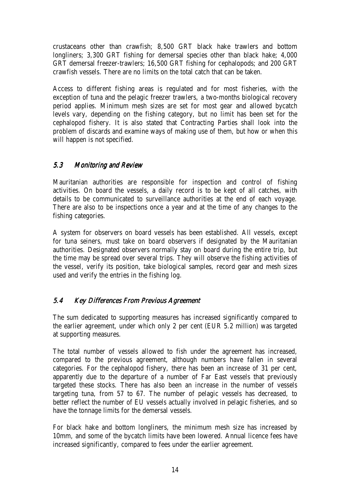crustaceans other than crawfish; 8,500 GRT black hake trawlers and bottom longliners; 3,300 GRT fishing for demersal species other than black hake; 4,000 GRT demersal freezer-trawlers; 16,500 GRT fishing for cephalopods; and 200 GRT crawfish vessels. There are no limits on the total catch that can be taken.

Access to different fishing areas is regulated and for most fisheries, with the exception of tuna and the pelagic freezer trawlers, a two-months biological recovery period applies. Minimum mesh sizes are set for most gear and allowed bycatch levels vary, depending on the fishing category, but no limit has been set for the cephalopod fishery. It is also stated that Contracting Parties shall look into the problem of discards and examine ways of making use of them, but how or when this will happen is not specified.

### 5.3 Monitoring and Review

Mauritanian authorities are responsible for inspection and control of fishing activities. On board the vessels, a daily record is to be kept of all catches, with details to be communicated to surveillance authorities at the end of each voyage. There are also to be inspections once a year and at the time of any changes to the fishing categories.

A system for observers on board vessels has been established. All vessels, except for tuna seiners, must take on board observers if designated by the Mauritanian authorities. Designated observers normally stay on board during the entire trip, but the time may be spread over several trips. They will observe the fishing activities of the vessel, verify its position, take biological samples, record gear and mesh sizes used and verify the entries in the fishing log.

### 5.4 Key Differences From Previous Agreement

The sum dedicated to supporting measures has increased significantly compared to the earlier agreement, under which only 2 per cent (EUR 5.2 million) was targeted at supporting measures.

The total number of vessels allowed to fish under the agreement has increased, compared to the previous agreement, although numbers have fallen in several categories. For the cephalopod fishery, there has been an increase of 31 per cent, apparently due to the departure of a number of Far East vessels that previously targeted these stocks. There has also been an increase in the number of vessels targeting tuna, from 57 to 67. The number of pelagic vessels has decreased, to better reflect the number of EU vessels actually involved in pelagic fisheries, and so have the tonnage limits for the demersal vessels.

For black hake and bottom longliners, the minimum mesh size has increased by 10mm, and some of the bycatch limits have been lowered. Annual licence fees have increased significantly, compared to fees under the earlier agreement.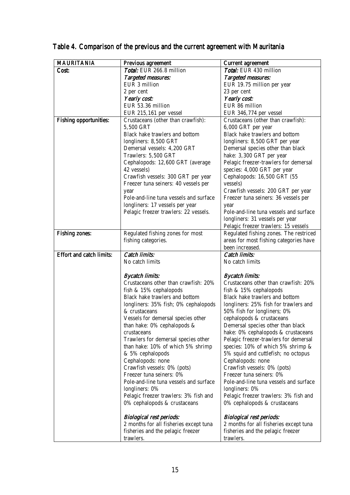| <b>MAURITANIA</b>               | Previous agreement                                                          | <b>Current agreement</b>                                                    |
|---------------------------------|-----------------------------------------------------------------------------|-----------------------------------------------------------------------------|
| Cost:                           | Total: EUR 266.8 million                                                    | Total: EUR 430 million                                                      |
|                                 | <b>Targeted measures:</b>                                                   | Targeted measures:                                                          |
|                                 | EUR 3 million                                                               | EUR 19.75 million per year                                                  |
|                                 | 2 per cent                                                                  | 23 per cent                                                                 |
|                                 | Yearly cost:                                                                | Yearly cost:                                                                |
|                                 | EUR 53.36 million                                                           | EUR 86 million                                                              |
|                                 | EUR 215,161 per vessel                                                      | EUR 346,774 per vessel                                                      |
| <b>Fishing opportunities:</b>   | Crustaceans (other than crawfish):                                          | Crustaceans (other than crawfish):                                          |
|                                 | 5,500 GRT                                                                   | 6,000 GRT per year                                                          |
|                                 | Black hake trawlers and bottom                                              | Black hake trawlers and bottom                                              |
|                                 | longliners: 8,500 GRT                                                       | longliners: 8,500 GRT per year                                              |
|                                 | Demersal vessels: 4,200 GRT                                                 | Demersal species other than black                                           |
|                                 | Trawlers: 5,500 GRT                                                         | hake: 3,300 GRT per year                                                    |
|                                 | Cephalopods: 12,600 GRT (average                                            | Pelagic freezer-trawlers for demersal                                       |
|                                 | 42 vessels)                                                                 | species: 4,000 GRT per year                                                 |
|                                 | Crawfish vessels: 300 GRT per year                                          | Cephalopods: 16,500 GRT (55                                                 |
|                                 | Freezer tuna seiners: 40 vessels per                                        | vessels)                                                                    |
|                                 | year                                                                        | Crawfish vessels: 200 GRT per year                                          |
|                                 | Pole-and-line tuna vessels and surface                                      | Freezer tuna seiners: 36 vessels per                                        |
|                                 | longliners: 17 vessels per year                                             | year                                                                        |
|                                 | Pelagic freezer trawlers: 22 vessels.                                       | Pole-and-line tuna vessels and surface                                      |
|                                 |                                                                             | longliners: 31 vessels per year                                             |
|                                 |                                                                             | Pelagic freezer trawlers: 15 vessels                                        |
| <b>Fishing zones:</b>           | Regulated fishing zones for most                                            | Regulated fishing zones. The restriced                                      |
|                                 | fishing categories.                                                         | areas for most fishing categories have                                      |
|                                 |                                                                             | been increased.                                                             |
| <b>Effort and catch limits:</b> | <b>Catch limits:</b>                                                        | <b>Catch limits:</b>                                                        |
|                                 | No catch limits                                                             | No catch limits                                                             |
|                                 |                                                                             |                                                                             |
|                                 |                                                                             |                                                                             |
|                                 | <b>Bycatch limits:</b>                                                      |                                                                             |
|                                 | Crustaceans other than crawfish: 20%                                        | <b>Bycatch limits:</b><br>Crustaceans other than crawfish: 20%              |
|                                 |                                                                             |                                                                             |
|                                 | fish & 15% cephalopods<br>Black hake trawlers and bottom                    | fish & 15% cephalopods<br>Black hake trawlers and bottom                    |
|                                 |                                                                             |                                                                             |
|                                 | longliners: 35% fish; 0% cephalopods<br>& crustaceans                       | longliners: 25% fish for trawlers and<br>50% fish for longliners; 0%        |
|                                 | Vessels for demersal species other                                          | cephalopods & crustaceans                                                   |
|                                 | than hake: $0\%$ cephalopods &                                              | Demersal species other than black                                           |
|                                 | crustaceans                                                                 |                                                                             |
|                                 |                                                                             | hake: 0% cephalopods & crustaceans<br>Pelagic freezer-trawlers for demersal |
|                                 | Trawlers for demersal species other<br>than hake: 10% of which 5% shrimp    | species: 10% of which 5% shrimp &                                           |
|                                 | & 5% cephalopods                                                            | 5% squid and cuttlefish; no octopus                                         |
|                                 | Cephalopods: none                                                           |                                                                             |
|                                 | Crawfish vessels: 0% (pots)                                                 | Cephalopods: none<br>Crawfish vessels: 0% (pots)                            |
|                                 | Freezer tuna seiners: 0%                                                    | Freezer tuna seiners: 0%                                                    |
|                                 | Pole-and-line tuna vessels and surface                                      | Pole-and-line tuna vessels and surface                                      |
|                                 | longliners: 0%                                                              | longliners: 0%                                                              |
|                                 | Pelagic freezer trawlers: 3% fish and                                       |                                                                             |
|                                 | 0% cephalopods & crustaceans                                                | Pelagic freezer trawlers: 3% fish and<br>0% cephalopods & crustaceans       |
|                                 |                                                                             |                                                                             |
|                                 | <b>Biological rest periods:</b>                                             | <b>Biological rest periods:</b>                                             |
|                                 | 2 months for all fisheries except tuna<br>fisheries and the pelagic freezer | 2 months for all fisheries except tuna<br>fisheries and the pelagic freezer |

# Table 4. Comparison of the previous and the current agreement with Mauritania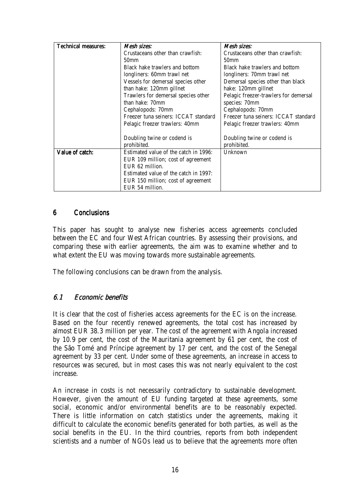| Technical measures: | Mesh sizes:                           | Mesh sizes:                           |  |
|---------------------|---------------------------------------|---------------------------------------|--|
|                     | Crustaceans other than crawfish:      | Crustaceans other than crawfish:      |  |
|                     | 50 <sub>mm</sub>                      | 50 <sub>mm</sub>                      |  |
|                     | Black hake trawlers and bottom        | Black hake trawlers and bottom        |  |
|                     | longliners: 60mm trawl net            | longliners: 70mm trawl net            |  |
|                     | Vessels for demersal species other    | Demersal species other than black     |  |
|                     | than hake: 120mm gillnet              | hake: 120mm gillnet                   |  |
|                     | Trawlers for demersal species other   | Pelagic freezer-trawlers for demersal |  |
|                     | than hake: 70mm                       | species: 70mm                         |  |
|                     | Cephalopods: 70mm                     | Cephalopods: 70mm                     |  |
|                     | Freezer tuna seiners: ICCAT standard  | Freezer tuna seiners: ICCAT standard  |  |
|                     | Pelagic freezer trawlers: 40mm        | Pelagic freezer trawlers: 40mm        |  |
|                     |                                       |                                       |  |
|                     | Doubling twine or codend is           | Doubling twine or codend is           |  |
|                     | prohibited.                           | prohibited.                           |  |
| Value of catch:     | Estimated value of the catch in 1996: | Unknown                               |  |
|                     | EUR 109 million; cost of agreement    |                                       |  |
|                     | EUR 62 million.                       |                                       |  |
|                     | Estimated value of the catch in 1997: |                                       |  |
|                     | EUR 150 million; cost of agreement    |                                       |  |
|                     | EUR 54 million.                       |                                       |  |

### 6 Conclusions

This paper has sought to analyse new fisheries access agreements concluded between the EC and four West African countries. By assessing their provisions, and comparing these with earlier agreements, the aim was to examine whether and to what extent the EU was moving towards more sustainable agreements.

The following conclusions can be drawn from the analysis.

### 6.1 Economic benefits Economic Economic benefits

It is clear that the cost of fisheries access agreements for the EC is on the increase. Based on the four recently renewed agreements, the total cost has increased by almost EUR 38.3 million per year. The cost of the agreement with Angola increased by 10.9 per cent, the cost of the Mauritania agreement by 61 per cent, the cost of the São Tomé and Príncipe agreement by 17 per cent, and the cost of the Senegal agreement by 33 per cent. Under some of these agreements, an increase in access to resources was secured, but in most cases this was not nearly equivalent to the cost increase.

An increase in costs is not necessarily contradictory to sustainable development. However, given the amount of EU funding targeted at these agreements, some social, economic and/or environmental benefits are to be reasonably expected. There is little information on catch statistics under the agreements, making it difficult to calculate the economic benefits generated for both parties, as well as the social benefits in the EU. In the third countries, reports from both independent scientists and a number of NGOs lead us to believe that the agreements more often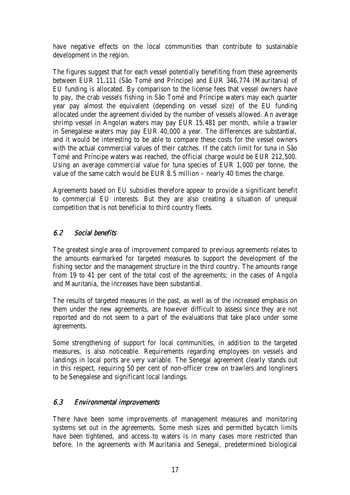have negative effects on the local communities than contribute to sustainable development in the region.

The figures suggest that for each vessel potentially benefiting from these agreements between EUR 11,111 (São Tomé and Príncipe) and EUR 346,774 (Mauritania) of EU funding is allocated. By comparison to the license fees that vessel owners have to pay, the crab vessels fishing in São Tomé and Príncipe waters may each quarter year pay almost the equivalent (depending on vessel size) of the EU funding allocated under the agreement divided by the number of vessels allowed. An average shrimp vessel in Angolan waters may pay EUR 15,481 per month, while a trawler in Senegalese waters may pay EUR 40,000 a year. The differences are substantial, and it would be interesting to be able to compare these costs for the vessel owners with the actual commercial values of their catches. If the catch limit for tuna in São Tomé and Príncipe waters was reached, the official charge would be EUR 212,500. Using an average commercial value for tuna species of EUR 1,000 per tonne, the value of the same catch would be EUR 8.5 million – nearly 40 times the charge.

Agreements based on EU subsidies therefore appear to provide a significant benefit to commercial EU interests. But they are also creating a situation of unequal competition that is not beneficial to third country fleets.

### $6.2$  Social benefits

The greatest single area of improvement compared to previous agreements relates to the amounts earmarked for targeted measures to support the development of the fishing sector and the management structure in the third country. The amounts range from 19 to 41 per cent of the total cost of the agreements; in the cases of Angola and Mauritania, the increases have been substantial.

The results of targeted measures in the past, as well as of the increased emphasis on them under the new agreements, are however difficult to assess since they are not reported and do not seem to a part of the evaluations that take place under some agreements.

Some strengthening of support for local communities, in addition to the targeted measures, is also noticeable. Requirements regarding employees on vessels and landings in local ports are very variable. The Senegal agreement clearly stands out in this respect, requiring 50 per cent of non-officer crew on trawlers and longliners to be Senegalese and significant local landings.

### 6.3 Environmental improvements

There have been some improvements of management measures and monitoring systems set out in the agreements. Some mesh sizes and permitted bycatch limits have been tightened, and access to waters is in many cases more restricted than before. In the agreements with Mauritania and Senegal, predetermined biological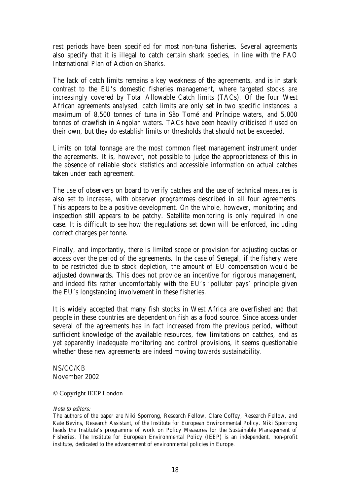rest periods have been specified for most non-tuna fisheries. Several agreements also specify that it is illegal to catch certain shark species, in line with the FAO International Plan of Action on Sharks.

The lack of catch limits remains a key weakness of the agreements, and is in stark contrast to the EU's domestic fisheries management, where targeted stocks are increasingly covered by Total Allowable Catch limits (TACs). Of the four West African agreements analysed, catch limits are only set in two specific instances: a maximum of 8,500 tonnes of tuna in São Tomé and Príncipe waters, and 5,000 tonnes of crawfish in Angolan waters. TACs have been heavily criticised if used on their own, but they do establish limits or thresholds that should not be exceeded.

Limits on total tonnage are the most common fleet management instrument under the agreements. It is, however, not possible to judge the appropriateness of this in the absence of reliable stock statistics and accessible information on actual catches taken under each agreement.

The use of observers on board to verify catches and the use of technical measures is also set to increase, with observer programmes described in all four agreements. This appears to be a positive development. On the whole, however, monitoring and inspection still appears to be patchy. Satellite monitoring is only required in one case. It is difficult to see how the regulations set down will be enforced, including correct charges per tonne.

Finally, and importantly, there is limited scope or provision for adjusting quotas or access over the period of the agreements. In the case of Senegal, if the fishery were to be restricted due to stock depletion, the amount of EU compensation would be adjusted downwards. This does not provide an incentive for rigorous management, and indeed fits rather uncomfortably with the EU's 'polluter pays' principle given the EU's longstanding involvement in these fisheries.

It is widely accepted that many fish stocks in West Africa are overfished and that people in these countries are dependent on fish as a food source. Since access under several of the agreements has in fact increased from the previous period, without sufficient knowledge of the available resources, few limitations on catches, and as yet apparently inadequate monitoring and control provisions, it seems questionable whether these new agreements are indeed moving towards sustainability.

NS/CC/KB November 2002

© Copyright IEEP London

#### Note to editors:

The authors of the paper are Niki Sporrong, Research Fellow, Clare Coffey, Research Fellow, and Kate Bevins, Research Assistant, of the Institute for European Environmental Policy. Niki Sporrong heads the Institute's programme of work on Policy Measures for the Sustainable Management of Fisheries. The Institute for European Environmental Policy (IEEP) is an independent, non-profit institute, dedicated to the advancement of environmental policies in Europe.